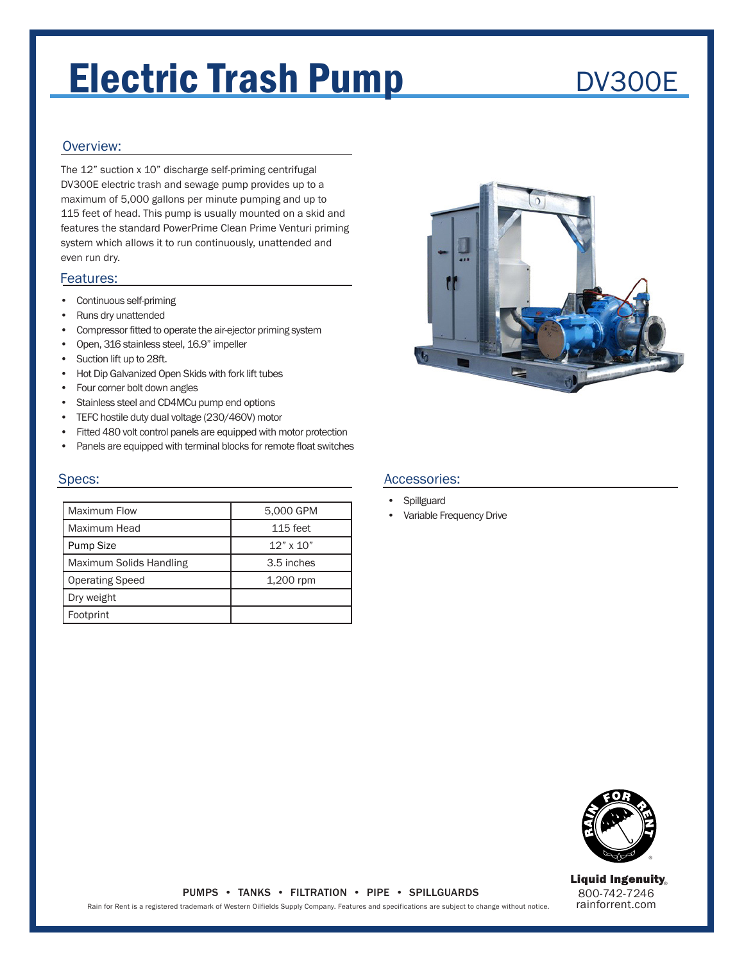# Electric Trash Pump

## DV300E

### Overview:

The 12" suction x 10" discharge self-priming centrifugal DV300E electric trash and sewage pump provides up to a maximum of 5,000 gallons per minute pumping and up to 115 feet of head. This pump is usually mounted on a skid and features the standard PowerPrime Clean Prime Venturi priming system which allows it to run continuously, unattended and even run dry.

#### Features:

- Continuous self-priming
- Runs dry unattended
- Compressor fitted to operate the air-ejector priming system
- Open, 316 stainless steel, 16.9" impeller
- Suction lift up to 28ft.
- Hot Dip Galvanized Open Skids with fork lift tubes
- Four corner bolt down angles
- Stainless steel and CD4MCu pump end options
- TEFC hostile duty dual voltage (230/460V) motor
- Fitted 480 volt control panels are equipped with motor protection
- Panels are equipped with terminal blocks for remote float switches

#### Specs:

| Maximum Flow            | 5,000 GPM        |
|-------------------------|------------------|
| Maximum Head            | 115 feet         |
| <b>Pump Size</b>        | $12" \times 10"$ |
| Maximum Solids Handling | 3.5 inches       |
| <b>Operating Speed</b>  | 1,200 rpm        |
| Dry weight              |                  |
| Footprint               |                  |



#### Accessories:

- Spillguard
- Variable Frequency Drive



800-742-7246 rainforrent.com **Liquid Ingenuity** 

#### PUMPS • TANKS • FILTRATION • PIPE • SPILLGUARDS

Rain for Rent is a registered trademark of Western Oilfields Supply Company. Features and specifications are subject to change without notice.